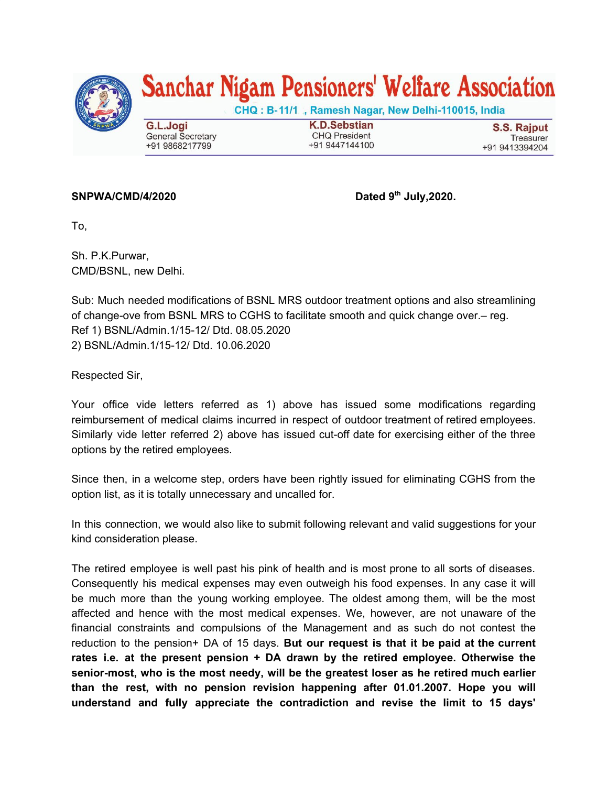

## Sanchar Nigam Pensioners' Welfare Association

CHQ: B-11/1, Ramesh Nagar, New Delhi-110015, India

G.L.Jogi **General Secretary** +91 9868217799

**K.D.Sebstian CHQ President** +91 9447144100

**S.S. Rajput** Treasurer +91 9413394204

## $SNPWA/CMD/4/2020$

**th July,2020.**

To,

Sh. P.K.Purwar, CMD/BSNL, new Delhi.

Sub: Much needed modifications of BSNL MRS outdoor treatment options and also streamlining of change-ove from BSNL MRS to CGHS to facilitate smooth and quick change over.– reg. Ref 1) BSNL/Admin.1/15-12/ Dtd. 08.05.2020 2) BSNL/Admin.1/15-12/ Dtd. 10.06.2020

Respected Sir,

Your office vide letters referred as 1) above has issued some modifications regarding reimbursement of medical claims incurred in respect of outdoor treatment of retired employees. Similarly vide letter referred 2) above has issued cut-off date for exercising either of the three options by the retired employees.

Since then, in a welcome step, orders have been rightly issued for eliminating CGHS from the option list, as it is totally unnecessary and uncalled for.

In this connection, we would also like to submit following relevant and valid suggestions for your kind consideration please.

The retired employee is well past his pink of health and is most prone to all sorts of diseases. Consequently his medical expenses may even outweigh his food expenses. In any case it will be much more than the young working employee. The oldest among them, will be the most affected and hence with the most medical expenses. We, however, are not unaware of the financial constraints and compulsions of the Management and as such do not contest the reduction to the pension+ DA of 15 days. **But our request is that it be paid at the current rates i.e. at the present pension + DA drawn by the retired employee. Otherwise the senior-most, who is the most needy, will be the greatest loser as he retired much earlier than the rest, with no pension revision happening after 01.01.2007. Hope you will understand and fully appreciate the contradiction and revise the limit to 15 days'**